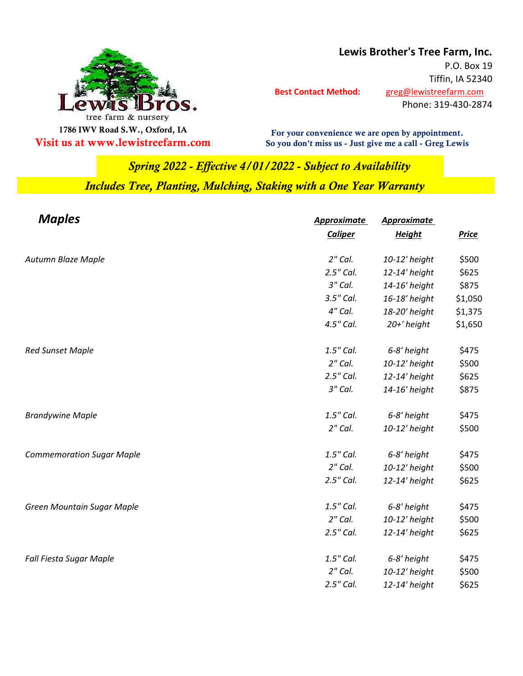

**Lewis Brother's Tree Farm, Inc.**

 **Best Contact Method:** [greg@lewistree](mailto:greg@lewistreefarm.com)farm.com P.O. Box 19 Tiffin, IA 52340 Phone: 319-430-2874

**For your convenience we are open by appointment. Visit us at www.lewistreefarm.com So you don't miss us - Just give me a call - Greg Lewis**

## *Includes Tree, Planting, Mulching, Staking with a One Year Warranty Spring 2022 - Effective 4/01/2022 - Subject to Availability*

| <b>Maples</b>                    | <b>Approximate</b> | <b>Approximate</b> |              |
|----------------------------------|--------------------|--------------------|--------------|
|                                  | <b>Caliper</b>     | <b>Height</b>      | <b>Price</b> |
| Autumn Blaze Maple               | $2''$ Cal.         | 10-12' height      | \$500        |
|                                  | 2.5" Cal.          | 12-14' height      | \$625        |
|                                  | 3" Cal.            | 14-16' height      | \$875        |
|                                  | 3.5" Cal.          | 16-18' height      | \$1,050      |
|                                  | 4" Cal.            | 18-20' height      | \$1,375      |
|                                  | 4.5" Cal.          | 20+' height        | \$1,650      |
| <b>Red Sunset Maple</b>          | 1.5" Cal.          | 6-8' height        | \$475        |
|                                  | $2"$ Cal.          | 10-12' height      | \$500        |
|                                  | 2.5" Cal.          | 12-14' height      | \$625        |
|                                  | 3" Cal.            | 14-16' height      | \$875        |
| <b>Brandywine Maple</b>          | 1.5" Cal.          | 6-8' height        | \$475        |
|                                  | $2"$ Cal.          | 10-12' height      | \$500        |
| <b>Commemoration Sugar Maple</b> | 1.5" Cal.          | 6-8' height        | \$475        |
|                                  | $2"$ Cal.          | 10-12' height      | \$500        |
|                                  | 2.5" Cal.          | 12-14' height      | \$625        |
| Green Mountain Sugar Maple       | 1.5" Cal.          | 6-8' height        | \$475        |
|                                  | $2"$ Cal.          | 10-12' height      | \$500        |
|                                  | 2.5" Cal.          | 12-14' height      | \$625        |
| Fall Fiesta Sugar Maple          | 1.5" Cal.          | 6-8' height        | \$475        |
|                                  | $2''$ Cal.         | 10-12' height      | \$500        |
|                                  | 2.5" Cal.          | 12-14' height      | \$625        |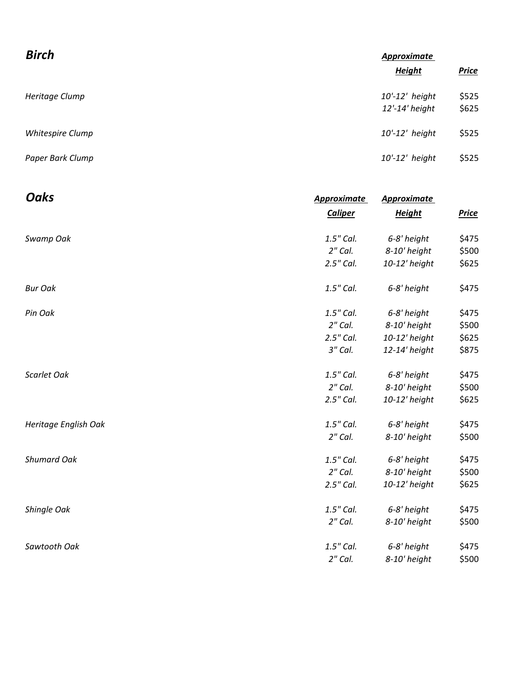| <b>Birch</b>     | <b>Approximate</b>               |                |  |
|------------------|----------------------------------|----------------|--|
|                  | <b>Height</b>                    | <b>Price</b>   |  |
| Heritage Clump   | 10'-12' height<br>12'-14' height | \$525<br>\$625 |  |
| Whitespire Clump | $10'-12'$ height                 | \$525          |  |
| Paper Bark Clump | 10'-12' height                   | \$525          |  |

| <b>Oaks</b>          | <b>Approximate</b> | <b>Approximate</b> |              |
|----------------------|--------------------|--------------------|--------------|
|                      | <b>Caliper</b>     | <b>Height</b>      | <b>Price</b> |
| Swamp Oak            | 1.5" Cal.          | 6-8' height        | \$475        |
|                      | $2"$ Cal.          | 8-10' height       | \$500        |
|                      | 2.5" Cal.          | 10-12' height      | \$625        |
| <b>Bur Oak</b>       | 1.5" Cal.          | 6-8' height        | \$475        |
| Pin Oak              | 1.5" Cal.          | 6-8' height        | \$475        |
|                      | $2"$ Cal.          | 8-10' height       | \$500        |
|                      | 2.5" Cal.          | 10-12' height      | \$625        |
|                      | 3" Cal.            | 12-14' height      | \$875        |
| Scarlet Oak          | 1.5" Cal.          | 6-8' height        | \$475        |
|                      | $2"$ Cal.          | 8-10' height       | \$500        |
|                      | 2.5" Cal.          | 10-12' height      | \$625        |
| Heritage English Oak | 1.5" Cal.          | 6-8' height        | \$475        |
|                      | $2"$ Cal.          | 8-10' height       | \$500        |
| <b>Shumard Oak</b>   | 1.5" Cal.          | 6-8' height        | \$475        |
|                      | $2"$ Cal.          | 8-10' height       | \$500        |
|                      | 2.5" Cal.          | 10-12' height      | \$625        |
| Shingle Oak          | 1.5" Cal.          | 6-8' height        | \$475        |
|                      | $2"$ Cal.          | 8-10' height       | \$500        |
| Sawtooth Oak         | 1.5" Cal.          | 6-8' height        | \$475        |
|                      | $2''$ Cal.         | 8-10' height       | \$500        |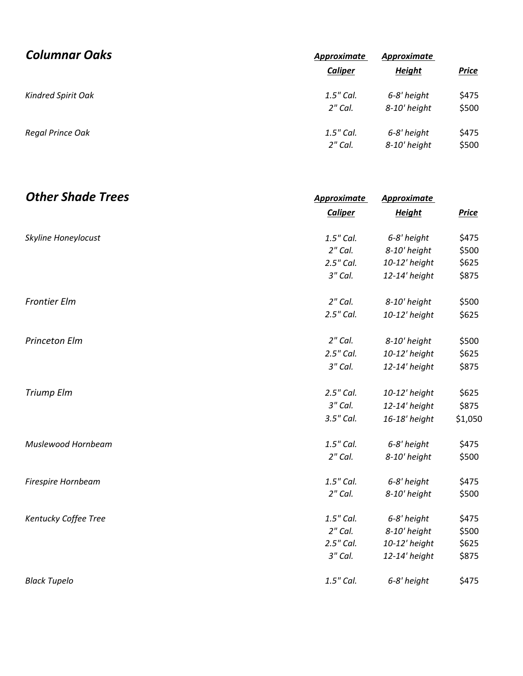| <b>Columnar Oaks</b>      | Approximate<br>Caliper | Approximate<br><b>Height</b> | <b>Price</b> |
|---------------------------|------------------------|------------------------------|--------------|
| <b>Kindred Spirit Oak</b> | 1.5" Cal.              | 6-8' height                  | \$475        |
|                           | $2"$ Cal.              | 8-10' height                 | \$500        |
| Regal Prince Oak          | 1.5" Cal.              | 6-8' height                  | \$475        |
|                           | $2"$ Cal.              | 8-10' height                 | \$500        |

| <b>Other Shade Trees</b> | <b>Approximate</b><br><b>Caliper</b> | <b>Approximate</b><br><b>Height</b> | <b>Price</b> |
|--------------------------|--------------------------------------|-------------------------------------|--------------|
|                          |                                      |                                     |              |
| Skyline Honeylocust      | 1.5" Cal.                            | 6-8' height                         | \$475        |
|                          | $2''$ Cal.                           | 8-10' height                        | \$500        |
|                          | 2.5" Cal.                            | 10-12' height                       | \$625        |
|                          | 3" Cal.                              | 12-14' height                       | \$875        |
| <b>Frontier Elm</b>      | $2"$ Cal.                            | 8-10' height                        | \$500        |
|                          | 2.5" Cal.                            | 10-12' height                       | \$625        |
| <b>Princeton Elm</b>     | $2"$ Cal.                            | 8-10' height                        | \$500        |
|                          | 2.5" Cal.                            | 10-12' height                       | \$625        |
|                          | 3" Cal.                              | 12-14' height                       | \$875        |
| Triump Elm               | 2.5" Cal.                            | 10-12' height                       | \$625        |
|                          | 3" Cal.                              | 12-14' height                       | \$875        |
|                          | 3.5" Cal.                            | 16-18' height                       | \$1,050      |
| Muslewood Hornbeam       | 1.5" Cal.                            | 6-8' height                         | \$475        |
|                          | $2"$ Cal.                            | 8-10' height                        | \$500        |
| Firespire Hornbeam       | 1.5" Cal.                            | 6-8' height                         | \$475        |
|                          | $2"$ Cal.                            | 8-10' height                        | \$500        |
| Kentucky Coffee Tree     | 1.5" Cal.                            | 6-8' height                         | \$475        |
|                          | $2"$ Cal.                            | 8-10' height                        | \$500        |
|                          | 2.5" Cal.                            | 10-12' height                       | \$625        |
|                          | 3" Cal.                              | 12-14' height                       | \$875        |
| <b>Black Tupelo</b>      | 1.5" Cal.                            | 6-8' height                         | \$475        |